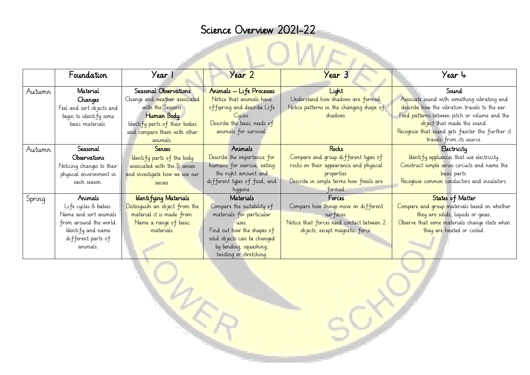## Science Overview 2021-22

|        | Foundation                | Year 1                         | Year 2                       | Year 3                                    | Year 4                                           |
|--------|---------------------------|--------------------------------|------------------------------|-------------------------------------------|--------------------------------------------------|
| Autumn | Material                  | Seasonal Observations          | Animals - Life Processes     | Light                                     | Sound                                            |
|        | Changes                   | Change and weather associated  | Notice that animals have     | Understand how shadows are formed.        | Associate sound with something vibrating and     |
|        | Feel and sort objects and | with the Seasons.              | offspring and describe Life  | Notice patterns in the changing shape of  | describe how the vibration travels to the ear.   |
|        | begin to identify some    | Human Body                     | Cycles.                      | shadows.                                  | Find patterns between pitch or volume and the    |
|        | basic materials.          | Identify parts of their bodies | Describe the basic needs of  |                                           | object that made the sound.                      |
|        |                           | and compare them with other    | animals for survival.        |                                           | Recognise that sound gets fainter the further it |
|        |                           | animals.                       |                              |                                           | travels from its source.                         |
| Autumn | Seasonal                  | <b>Senses</b>                  | Animals                      | <b>Rocks</b>                              | Electricity                                      |
|        | Observations              | Identify parts of the body     | Describe the importance for  | Compare and group different types of      | <b>Identify appliances</b> that use electricity. |
|        | Noticing changes to their | associated with the 5 senses   | humans for exercise, eating  | rocks on their appearance and physical    | Construct simple series circuits and name the    |
|        | physical environment in   | and investigate how we use our | the right amount and         | properties.                               | basic parts.                                     |
|        | each season.              | senses.                        | different types of food, and | Describe in simple terms how fossils are  | Recognise common conductors and insulators.      |
|        |                           |                                | hygiene.                     | tormed                                    |                                                  |
| Spring | Animals                   | Identifying Materials          | Materials                    | Forces                                    | States of Matter                                 |
|        | Life cycles & babies.     | Distinguish an object from the | Compare the suitability of   | Compare how things move on different      | Compare and group materials based on whether     |
|        | Name and sort animals     | material it is made from.      | materials for particular     | surfaces.                                 | they are solids, liquids or gases.               |
|        | from around the world.    | Name a range of basic          | LSSES                        | Notice that forces need contact between 2 | Observe that some materials change state when    |
|        | Identify and name         | materials.                     | Find out how the shapes of   | objects, except magnetic force.           | they are heated or cooled.                       |
|        | different parts of        |                                | solid objects can be changed |                                           |                                                  |
|        | animals.                  |                                | by bending, squashing,       |                                           |                                                  |
|        |                           |                                | twisting or stretching.      |                                           |                                                  |